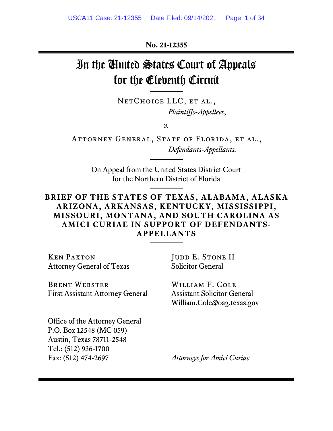**No. 21-12355**

# In the United States Court of Appeals for the Eleventh Circuit

NETCHOICE LLC, ET AL., *Plaintiffs-Appellees*,

*v.*

ATTORNEY GENERAL, STATE OF FLORIDA, ET AL., *Defendants-Appellants.*

> On Appeal from the United States District Court for the Northern District of Florida

## **BRIEF OF THE STATES OF TEXAS, ALABAMA, ALASKA ARIZONA, ARKANSAS, KENTUCKY, MISSISSIPPI, MISSOURI, MONTANA, AND SOUTH CAROLINA AS AMICI CURIAE IN SUPPORT OF DEFENDANTS-APPELLANTS**

Ken Paxton Attorney General of Texas

Brent Webster First Assistant Attorney General JUDD E. STONE II Solicitor General

William F. Cole Assistant Solicitor General William.Cole@oag.texas.gov

Office of the Attorney General P.O. Box 12548 (MC 059) Austin, Texas 78711-2548 Tel.: (512) 936-1700 Fax: (512) 474-2697

*Attorneys for Amici Curiae*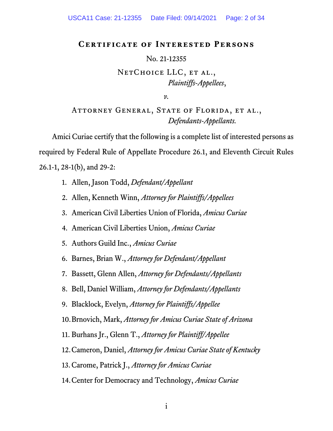### <span id="page-1-0"></span>**Certificate of Interested Persons**

#### No. 21-12355

## NETCHOICE LLC, ET AL., *Plaintiffs-Appellees*,

*v.*

ATTORNEY GENERAL, STATE OF FLORIDA, ET AL., *Defendants-Appellants.*

Amici Curiae certify that the following is a complete list of interested persons as required by Federal Rule of Appellate Procedure 26.1, and Eleventh Circuit Rules 26.1-1, 28-1(b), and 29-2:

- 1. Allen, Jason Todd, *Defendant/Appellant*
- 2. Allen, Kenneth Winn, *Attorney for Plaintiffs/Appellees*
- 3. American Civil Liberties Union of Florida, *Amicus Curiae*
- 4. American Civil Liberties Union, *Amicus Curiae*
- 5. Authors Guild Inc., *Amicus Curiae*
- 6. Barnes, Brian W., *Attorney for Defendant/Appellant*
- 7. Bassett, Glenn Allen, *Attorney for Defendants/Appellants*
- 8. Bell, Daniel William, *Attorney for Defendants/Appellants*
- 9. Blacklock, Evelyn, *Attorney for Plaintiffs/Appellee*
- 10.Brnovich, Mark, *Attorney for Amicus Curiae State of Arizona*
- 11. Burhans Jr., Glenn T., *Attorney for Plaintiff/Appellee*
- 12.Cameron, Daniel, *Attorney for Amicus Curiae State of Kentucky*
- 13.Carome, Patrick J., *Attorney for Amicus Curiae*
- 14.Center for Democracy and Technology, *Amicus Curiae*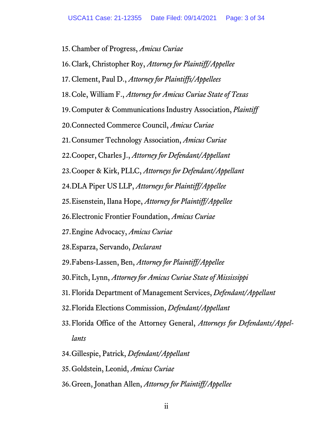15.Chamber of Progress, *Amicus Curiae* 16.Clark, Christopher Roy, *Attorney for Plaintiff/Appellee* 17.Clement, Paul D., *Attorney for Plaintiffs/Appellees* 18.Cole, William F., *Attorney for Amicus Curiae State of Texas* 19.Computer & Communications Industry Association, *Plaintiff* 20.Connected Commerce Council, *Amicus Curiae* 21.Consumer Technology Association, *Amicus Curiae* 22.Cooper, Charles J., *Attorney for Defendant/Appellant* 23.Cooper & Kirk, PLLC, *Attorneys for Defendant/Appellant* 24.DLA Piper US LLP, *Attorneys for Plaintiff/Appellee* 25.Eisenstein, Ilana Hope, *Attorney for Plaintiff/Appellee* 26.Electronic Frontier Foundation, *Amicus Curiae* 27.Engine Advocacy, *Amicus Curiae* 28.Esparza, Servando, *Declarant* 29.Fabens-Lassen, Ben, *Attorney for Plaintiff/Appellee* 30.Fitch, Lynn, *Attorney for Amicus Curiae State of Mississippi* 31. Florida Department of Management Services, *Defendant/Appellant* 32.Florida Elections Commission, *Defendant/Appellant* 33.Florida Office of the Attorney General, *Attorneys for Defendants/Appellants* 34.Gillespie, Patrick, *Defendant/Appellant* 35.Goldstein, Leonid, *Amicus Curiae*

36.Green, Jonathan Allen, *Attorney for Plaintiff/Appellee*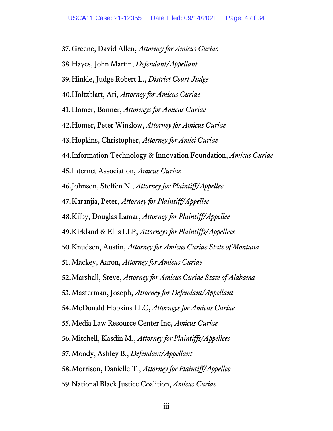37.Greene, David Allen, *Attorney for Amicus Curiae* 38.Hayes, John Martin, *Defendant/Appellant* 39.Hinkle, Judge Robert L., *District Court Judge* 40.Holtzblatt, Ari, *Attorney for Amicus Curiae* 41.Homer, Bonner, *Attorneys for Amicus Curiae* 42.Homer, Peter Winslow, *Attorney for Amicus Curiae* 43.Hopkins, Christopher, *Attorney for Amici Curiae* 44.Information Technology & Innovation Foundation, *Amicus Curiae* 45.Internet Association, *Amicus Curiae* 46.Johnson, Steffen N., *Attorney for Plaintiff/Appellee* 47.Karanjia, Peter, *Attorney for Plaintiff/Appellee* 48.Kilby, Douglas Lamar, *Attorney for Plaintiff/Appellee* 49.Kirkland & Ellis LLP, *Attorneys for Plaintiffs/Appellees* 50.Knudsen, Austin, *Attorney for Amicus Curiae State of Montana* 51. Mackey, Aaron, *Attorney for Amicus Curiae* 52.Marshall, Steve, *Attorney for Amicus Curiae State of Alabama* 53.Masterman, Joseph, *Attorney for Defendant/Appellant* 54.McDonald Hopkins LLC, *Attorneys for Amicus Curiae* 55.Media Law Resource Center Inc, *Amicus Curiae* 56.Mitchell, Kasdin M., *Attorney for Plaintiffs/Appellees* 57.Moody, Ashley B., *Defendant/Appellant* 58.Morrison, Danielle T., *Attorney for Plaintiff/Appellee* 59.National Black Justice Coalition, *Amicus Curiae*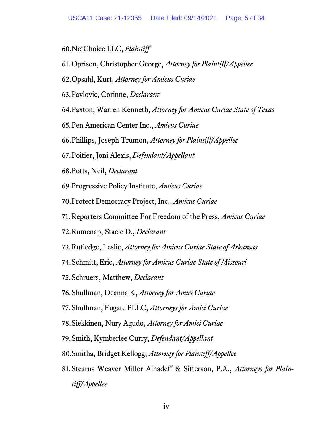60.NetChoice LLC, *Plaintiff*

- 61.Oprison, Christopher George, *Attorney for Plaintiff/Appellee*
- 62.Opsahl, Kurt, *Attorney for Amicus Curiae*
- 63.Pavlovic, Corinne, *Declarant*
- 64.Paxton, Warren Kenneth, *Attorney for Amicus Curiae State of Texas*
- 65.Pen American Center Inc., *Amicus Curiae*
- 66.Phillips, Joseph Trumon, *Attorney for Plaintiff/Appellee*
- 67.Poitier, Joni Alexis, *Defendant/Appellant*
- 68.Potts, Neil, *Declarant*
- 69.Progressive Policy Institute, *Amicus Curiae*
- 70.Protect Democracy Project, Inc., *Amicus Curiae*
- 71. Reporters Committee For Freedom of the Press, *Amicus Curiae*
- 72.Rumenap, Stacie D., *Declarant*
- 73.Rutledge, Leslie, *Attorney for Amicus Curiae State of Arkansas*
- 74.Schmitt, Eric, *Attorney for Amicus Curiae State of Missouri*
- 75.Schruers, Matthew, *Declarant*
- 76.Shullman, Deanna K, *Attorney for Amici Curiae*
- 77.Shullman, Fugate PLLC, *Attorneys for Amici Curiae*
- 78.Siekkinen, Nury Agudo, *Attorney for Amici Curiae*
- 79.Smith, Kymberlee Curry, *Defendant/Appellant*
- 80.Smitha, Bridget Kellogg, *Attorney for Plaintiff/Appellee*
- 81.Stearns Weaver Miller Alhadeff & Sitterson, P.A., *Attorneys for Plaintiff/Appellee*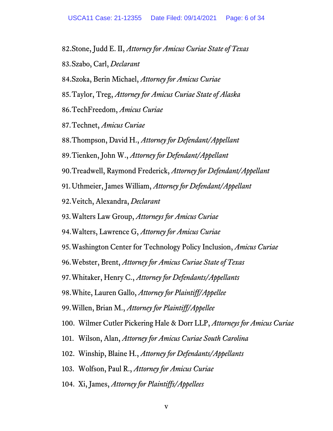82.Stone, Judd E. II, *Attorney for Amicus Curiae State of Texas* 83.Szabo, Carl, *Declarant* 84.Szoka, Berin Michael, *Attorney for Amicus Curiae* 85.Taylor, Treg, *Attorney for Amicus Curiae State of Alaska* 86.TechFreedom, *Amicus Curiae* 87.Technet, *Amicus Curiae* 88.Thompson, David H., *Attorney for Defendant/Appellant* 89.Tienken, John W., *Attorney for Defendant/Appellant* 90.Treadwell, Raymond Frederick, *Attorney for Defendant/Appellant* 91.Uthmeier, James William, *Attorney for Defendant/Appellant* 92.Veitch, Alexandra, *Declarant* 93.Walters Law Group, *Attorneys for Amicus Curiae* 94.Walters, Lawrence G, *Attorney for Amicus Curiae* 95.Washington Center for Technology Policy Inclusion, *Amicus Curiae* 96.Webster, Brent, *Attorney for Amicus Curiae State of Texas* 97.Whitaker, Henry C., *Attorney for Defendants/Appellants* 98.White, Lauren Gallo, *Attorney for Plaintiff/Appellee* 99.Willen, Brian M., *Attorney for Plaintiff/Appellee* 100. Wilmer Cutler Pickering Hale & Dorr LLP, *Attorneys for Amicus Curiae* 101. Wilson, Alan, *Attorney for Amicus Curiae South Carolina* 102. Winship, Blaine H., *Attorney for Defendants/Appellants* 103. Wolfson, Paul R., *Attorney for Amicus Curiae* 104. Xi, James, *Attorney for Plaintiffs/Appellees*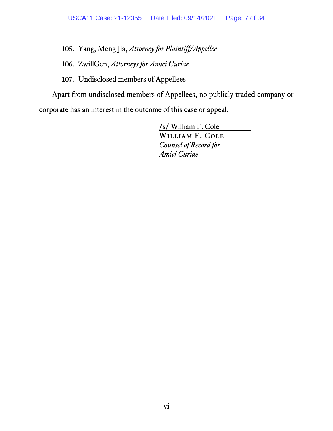105. Yang, Meng Jia, *Attorney for Plaintiff/Appellee*

106. ZwillGen, *Attorneys for Amici Curiae*

107. Undisclosed members of Appellees

Apart from undisclosed members of Appellees, no publicly traded company or corporate has an interest in the outcome of this case or appeal.

> /s/ William F. Cole William F. Cole *Counsel of Record for Amici Curiae*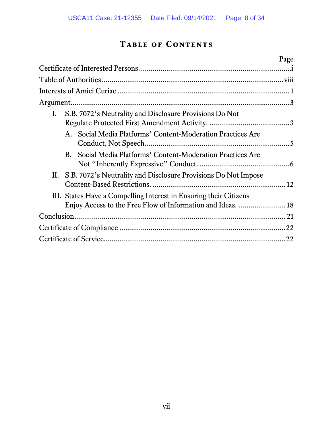## **Table of Contents**

|                                                                       | Page |
|-----------------------------------------------------------------------|------|
|                                                                       |      |
|                                                                       |      |
|                                                                       |      |
|                                                                       |      |
| S.B. 7072's Neutrality and Disclosure Provisions Do Not<br>I.         |      |
|                                                                       |      |
| Social Media Platforms' Content-Moderation Practices Are<br>$A_{1}$   |      |
|                                                                       |      |
| Social Media Platforms' Content-Moderation Practices Are<br><b>B.</b> |      |
|                                                                       |      |
| S.B. 7072's Neutrality and Disclosure Provisions Do Not Impose<br>П.  |      |
|                                                                       |      |
| III. States Have a Compelling Interest in Ensuring their Citizens     |      |
| Enjoy Access to the Free Flow of Information and Ideas.  18           |      |
|                                                                       |      |
|                                                                       | .22  |
|                                                                       | .22  |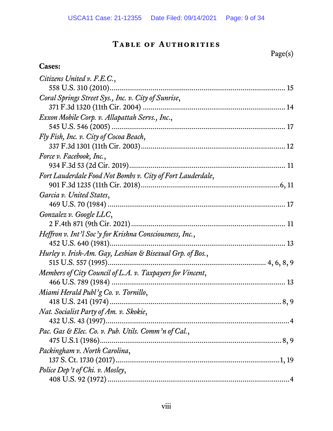## **Table of Authorities**

Page(s)

## <span id="page-8-0"></span>**Cases:**

| Citizens United v. F.E.C.,                                 |
|------------------------------------------------------------|
|                                                            |
| Coral Springs Street Sys., Inc. v. City of Sunrise,        |
|                                                            |
| Exxon Mobile Corp. v. Allapattah Servs., Inc.,             |
|                                                            |
| Fly Fish, Inc. v. City of Cocoa Beach,                     |
|                                                            |
| Force v. Facebook, Inc.,                                   |
|                                                            |
| Fort Lauderdale Food Not Bombs v. City of Fort Lauderdale, |
|                                                            |
| Garcia v. United States,                                   |
|                                                            |
| Gonzalez v. Google LLC,                                    |
|                                                            |
| Heffron v. Int'l Soc'y for Krishna Consciousness, Inc.,    |
|                                                            |
| Hurley v. Irish-Am. Gay, Lesbian & Bisexual Grp. of Bos.,  |
|                                                            |
| Members of City Council of L.A. v. Taxpayers for Vincent,  |
|                                                            |
| Miami Herald Publ'g Co. v. Tornillo,                       |
|                                                            |
| Nat. Socialist Party of Am. v. Skokie,                     |
|                                                            |
| Pac. Gas & Elec. Co. v. Pub. Utils. Comm'n of Cal.,        |
|                                                            |
| Packingham v. North Carolina,                              |
|                                                            |
| Police Dep't of Chi. v. Mosley,                            |
|                                                            |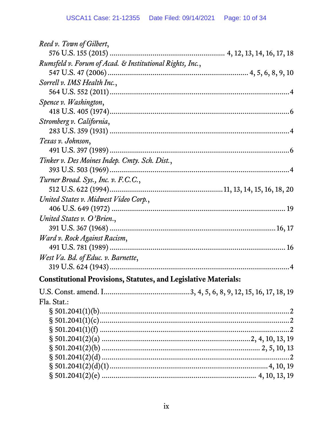| Reed v. Town of Gilbert,                                               |
|------------------------------------------------------------------------|
|                                                                        |
| Rumsfeld v. Forum of Acad. & Institutional Rights, Inc.,               |
|                                                                        |
| Sorrell v. IMS Health Inc.,                                            |
|                                                                        |
| Spence v. Washington,                                                  |
|                                                                        |
| Stromberg v. California,                                               |
|                                                                        |
| Texas v. Johnson,                                                      |
|                                                                        |
| Tinker v. Des Moines Indep. Cmty. Sch. Dist.,                          |
|                                                                        |
| Turner Broad. Sys., Inc. v. F.C.C.,                                    |
|                                                                        |
| United States v. Midwest Video Corp.,                                  |
|                                                                        |
| United States v. O'Brien.,                                             |
|                                                                        |
| Ward v. Rock Against Racism,                                           |
|                                                                        |
| West Va. Bd. of Educ. v. Barnette,                                     |
|                                                                        |
| <b>Constitutional Provisions, Statutes, and Legislative Materials:</b> |
|                                                                        |
| Fla. Stat.:                                                            |
|                                                                        |
|                                                                        |
|                                                                        |
|                                                                        |
|                                                                        |
|                                                                        |
|                                                                        |
|                                                                        |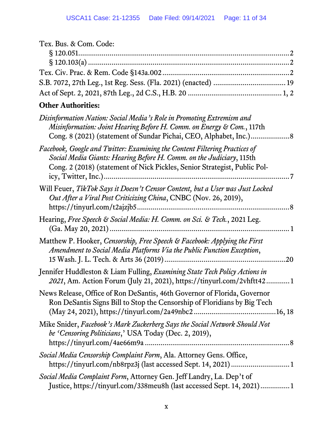| Tex. Bus. & Com. Code: |  |
|------------------------|--|
|                        |  |
|                        |  |
|                        |  |
|                        |  |
|                        |  |

## **Other Authorities:**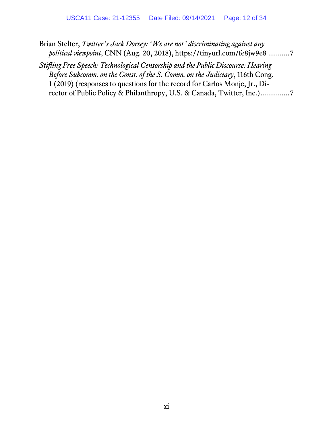- Brian Stelter, *Twitter's Jack Dorsey: 'We are not' discriminating against any political viewpoint*, CNN (Aug. 20, 2018), https://tinyurl.com/fe8jw9e8 ..........[.7](#page-18-1)
- *Stifling Free Speech: Technological Censorship and the Public Discourse: Hearing Before Subcomm. on the Const. of the S. Comm. on the Judiciary*, 116th Cong. 1 (2019) (responses to questions for the record for Carlos Monje, Jr., Director of Public Policy & Philanthropy, U.S. & Canada, Twitter, Inc.)..............[.7](#page-18-2)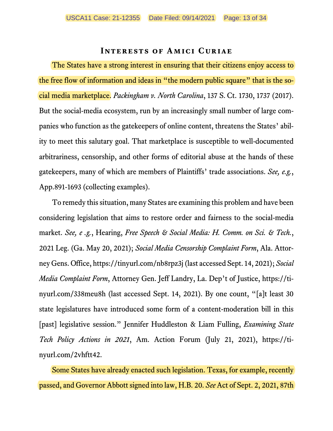#### <span id="page-12-1"></span>**Interests of Amici Curiae**

<span id="page-12-0"></span>The States have a strong interest in ensuring that their citizens enjoy access to the free flow of information and ideas in "the modern public square" that is the social media marketplace. *Packingham v. North Carolina*, 137 S. Ct. 1730, 1737 (2017). But the social-media ecosystem, run by an increasingly small number of large companies who function as the gatekeepers of online content, threatens the States' ability to meet this salutary goal. That marketplace is susceptible to well-documented arbitrariness, censorship, and other forms of editorial abuse at the hands of these gatekeepers, many of which are members of Plaintiffs' trade associations. *See, e.g.*, App.891-1693 (collecting examples).

<span id="page-12-6"></span><span id="page-12-5"></span><span id="page-12-3"></span>To remedy this situation, many States are examining this problem and have been considering legislation that aims to restore order and fairness to the social-media market. *See, e .g.*, Hearing, *Free Speech & Social Media: H. Comm. on Sci. & Tech.*, 2021 Leg. (Ga. May 20, 2021); *Social Media Censorship Complaint Form*, Ala. Attorney Gens. Office, https://tinyurl.com/nb8rpz3j (last accessed Sept. 14, 2021); *Social Media Complaint Form*, Attorney Gen. Jeff Landry, La. Dep't of Justice, https://tinyurl.com/338meu8h (last accessed Sept. 14, 2021). By one count, "[a]t least 30 state legislatures have introduced some form of a content-moderation bill in this [past] legislative session." Jennifer Huddleston & Liam Fulling, *Examining State Tech Policy Actions in 2021*, Am. Action Forum (July 21, 2021), https://tinyurl.com/2vhftt42.

<span id="page-12-4"></span><span id="page-12-2"></span>Some States have already enacted such legislation. Texas, for example, recently passed, and Governor Abbott signed into law, H.B. 20. *See* Act of Sept. 2, 2021, 87th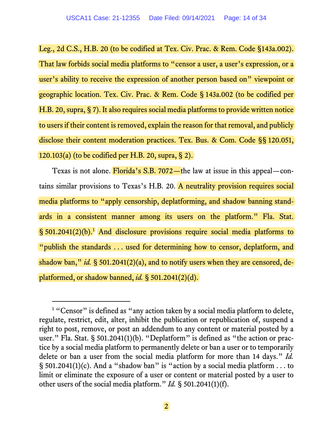<span id="page-13-8"></span><span id="page-13-7"></span>Leg., 2d C.S., H.B. 20 (to be codified at Tex. Civ. Prac. & Rem. Code §143a.002). That law forbids social media platforms to "censor a user, a user's expression, or a user's ability to receive the expression of another person based on" viewpoint or geographic location. Tex. Civ. Prac. & Rem. Code § 143a.002 (to be codified per H.B. 20, supra, § 7). It also requires social media platforms to provide written notice to users if their content is removed, explain the reason for that removal, and publicly disclose their content moderation practices. Tex. Bus. & Com. Code §§ 120.051, 120.103(a) (to be codified per H.B. 20, supra, § 2).

<span id="page-13-6"></span><span id="page-13-4"></span>Texas is not alone. Florida's S.B. 7072—the law at issue in this appeal—contains similar provisions to Texas's H.B. 20. A neutrality provision requires social media platforms to "apply censorship, deplatforming, and shadow banning standards in a consistent manner among its users on the platform." Fla. Stat.  $\S$  50[1](#page-13-9).2041(2)(b).<sup>1</sup> And disclosure provisions require social media platforms to "publish the standards . . . used for determining how to censor, deplatform, and shadow ban," *id.* § 501.2041(2)(a), and to notify users when they are censored, deplatformed, or shadow banned, *id.* § 501.2041(2)(d).

<span id="page-13-9"></span><span id="page-13-5"></span><span id="page-13-3"></span><span id="page-13-2"></span><span id="page-13-1"></span><span id="page-13-0"></span><sup>&</sup>lt;sup>1</sup> "Censor" is defined as "any action taken by a social media platform to delete, regulate, restrict, edit, alter, inhibit the publication or republication of, suspend a right to post, remove, or post an addendum to any content or material posted by a user." Fla. Stat. § 501.2041(1)(b). "Deplatform" is defined as "the action or practice by a social media platform to permanently delete or ban a user or to temporarily delete or ban a user from the social media platform for more than 14 days." *Id.*  $\S$  501.2041(1)(c). And a "shadow ban" is "action by a social media platform ... to limit or eliminate the exposure of a user or content or material posted by a user to other users of the social media platform." *Id.* § 501.2041(1)(f).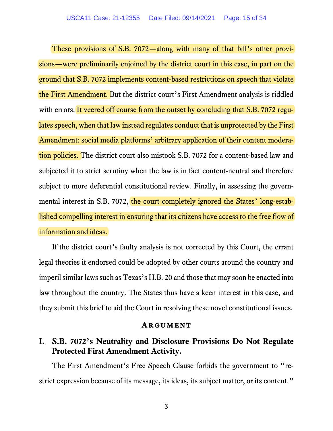<span id="page-14-2"></span>These provisions of S.B. 7072—along with many of that bill's other provisions—were preliminarily enjoined by the district court in this case, in part on the ground that S.B. 7072 implements content-based restrictions on speech that violate the First Amendment. But the district court's First Amendment analysis is riddled with errors. It veered off course from the outset by concluding that S.B. 7072 regulates speech, when that law instead regulates conduct that is unprotected by the First Amendment: social media platforms' arbitrary application of their content moderation policies. The district court also mistook S.B. 7072 for a content-based law and subjected it to strict scrutiny when the law is in fact content-neutral and therefore subject to more deferential constitutional review. Finally, in assessing the governmental interest in S.B. 7072, the court completely ignored the States' long-established compelling interest in ensuring that its citizens have access to the free flow of information and ideas.

If the district court's faulty analysis is not corrected by this Court, the errant legal theories it endorsed could be adopted by other courts around the country and imperil similar laws such as Texas's H.B. 20 and those that may soon be enacted into law throughout the country. The States thus have a keen interest in this case, and they submit this brief to aid the Court in resolving these novel constitutional issues.

#### **Argument**

## <span id="page-14-1"></span><span id="page-14-0"></span>**I. S.B. 7072's Neutrality and Disclosure Provisions Do Not Regulate Protected First Amendment Activity.**

The First Amendment's Free Speech Clause forbids the government to "restrict expression because of its message, its ideas, its subject matter, or its content."

3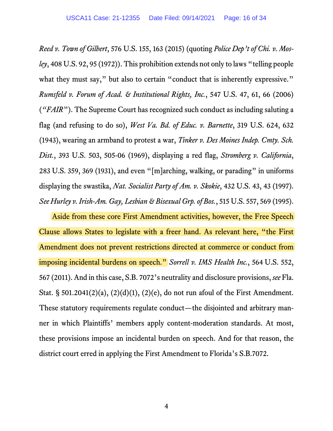<span id="page-15-8"></span><span id="page-15-4"></span><span id="page-15-3"></span><span id="page-15-2"></span>*Reed v. Town of Gilbert*, 576 U.S. 155, 163 (2015) (quoting *Police Dep't of Chi. v. Mosley*, 408 U.S. 92, 95 (1972)). This prohibition extends not only to laws "telling people what they must say," but also to certain "conduct that is inherently expressive." *Rumsfeld v. Forum of Acad. & Institutional Rights, Inc.*, 547 U.S. 47, 61, 66 (2006) (*"FAIR*"). The Supreme Court has recognized such conduct as including saluting a flag (and refusing to do so), *West Va. Bd. of Educ. v. Barnette*, 319 U.S. 624, 632 (1943), wearing an armband to protest a war, *Tinker v. Des Moines Indep. Cmty. Sch. Dist.*, 393 U.S. 503, 505-06 (1969), displaying a red flag, *Stromberg v. California*, 283 U.S. 359, 369 (1931), and even "[m]arching, walking, or parading" in uniforms displaying the swastika, *Nat. Socialist Party of Am. v. Skokie*, 432 U.S. 43, 43 (1997). *See Hurley v. Irish-Am. Gay, Lesbian & Bisexual Grp. of Bos.*, 515 U.S. 557, 569 (1995).

<span id="page-15-10"></span><span id="page-15-9"></span><span id="page-15-7"></span><span id="page-15-6"></span><span id="page-15-5"></span><span id="page-15-1"></span><span id="page-15-0"></span>Aside from these core First Amendment activities, however, the Free Speech Clause allows States to legislate with a freer hand. As relevant here, "the First Amendment does not prevent restrictions directed at commerce or conduct from imposing incidental burdens on speech." *Sorrell v. IMS Health Inc.*, 564 U.S. 552, 567 (2011). And in this case, S.B. 7072's neutrality and disclosure provisions, *see* Fla. Stat. § 501.2041(2)(a), (2)(d)(1), (2)(e), do not run afoul of the First Amendment. These statutory requirements regulate conduct—the disjointed and arbitrary manner in which Plaintiffs' members apply content-moderation standards. At most, these provisions impose an incidental burden on speech. And for that reason, the district court erred in applying the First Amendment to Florida's S.B.7072.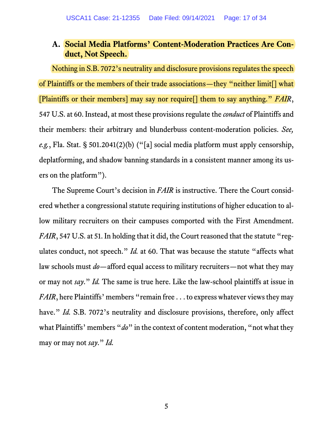## <span id="page-16-1"></span><span id="page-16-0"></span>**A. Social Media Platforms' Content-Moderation Practices Are Conduct, Not Speech.**

Nothing in S.B. 7072's neutrality and disclosure provisions regulates the speech of Plaintiffs or the members of their trade associations—they "neither limit[] what [Plaintiffs or their members] may say nor require[] them to say anything." *FAIR*, 547 U.S. at 60. Instead, at most these provisions regulate the *conduct* of Plaintiffs and their members: their arbitrary and blunderbuss content-moderation policies. *See, e.g.*, Fla. Stat. § 501.2041(2)(b) ("[a] social media platform must apply censorship, deplatforming, and shadow banning standards in a consistent manner among its users on the platform").

<span id="page-16-3"></span><span id="page-16-2"></span>The Supreme Court's decision in *FAIR* is instructive. There the Court considered whether a congressional statute requiring institutions of higher education to allow military recruiters on their campuses comported with the First Amendment. *FAIR*, 547 U.S. at 51. In holding that it did, the Court reasoned that the statute "regulates conduct, not speech." *Id.* at 60. That was because the statute "affects what law schools must *do*—afford equal access to military recruiters—not what they may or may not *say*." *Id.* The same is true here. Like the law-school plaintiffs at issue in *FAIR*, here Plaintiffs' members "remain free . . . to express whatever views they may have." *Id.* S.B. 7072's neutrality and disclosure provisions, therefore, only affect what Plaintiffs' members "*do*" in the context of content moderation, "not what they may or may not *say*." *Id.*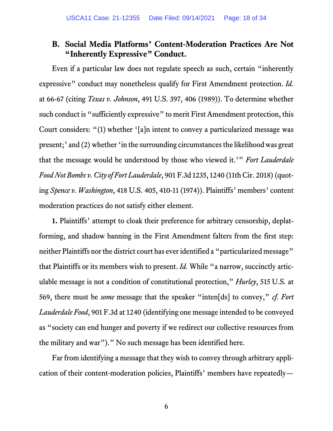## <span id="page-17-6"></span><span id="page-17-3"></span><span id="page-17-0"></span>**B. Social Media Platforms' Content-Moderation Practices Are Not "Inherently Expressive" Conduct.**

<span id="page-17-5"></span>Even if a particular law does not regulate speech as such, certain "inherently expressive" conduct may nonetheless qualify for First Amendment protection. *Id.* at 66-67 (citing *Texas v. Johnson*, 491 U.S. 397, 406 (1989)). To determine whether such conduct is "sufficiently expressive" to merit First Amendment protection, this Court considers: "(1) whether '[a]n intent to convey a particularized message was present;' and (2) whether 'in the surrounding circumstances the likelihood was great that the message would be understood by those who viewed it.'" *Fort Lauderdale Food Not Bombs v. City of Fort Lauderdale*, 901 F.3d 1235, 1240 (11th Cir. 2018) (quoting *Spence v. Washington*, 418 U.S. 405, 410-11 (1974)). Plaintiffs' members' content moderation practices do not satisfy either element.

<span id="page-17-4"></span><span id="page-17-2"></span><span id="page-17-1"></span>**1.** Plaintiffs' attempt to cloak their preference for arbitrary censorship, deplatforming, and shadow banning in the First Amendment falters from the first step: neither Plaintiffs nor the district court has ever identified a "particularized message" that Plaintiffs or its members wish to present. *Id.* While "a narrow, succinctly articulable message is not a condition of constitutional protection," *Hurley*, 515 U.S. at 569, there must be *some* message that the speaker "inten[ds] to convey," *cf. Fort Lauderdale Food*, 901 F.3d at 1240 (identifying one message intended to be conveyed as "society can end hunger and poverty if we redirect our collective resources from the military and war")." No such message has been identified here.

Far from identifying a message that they wish to convey through arbitrary application of their content-moderation policies, Plaintiffs' members have repeatedly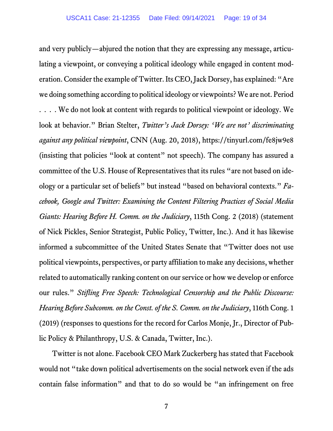<span id="page-18-1"></span><span id="page-18-0"></span>and very publicly—abjured the notion that they are expressing any message, articulating a viewpoint, or conveying a political ideology while engaged in content moderation. Consider the example of Twitter. Its CEO, Jack Dorsey, has explained: "Are we doing something according to political ideology or viewpoints? We are not. Period . . . . We do not look at content with regards to political viewpoint or ideology. We look at behavior." Brian Stelter, *Twitter's Jack Dorsey: 'We are not' discriminating against any political viewpoint*, CNN (Aug. 20, 2018), https://tinyurl.com/fe8jw9e8 (insisting that policies "look at content" not speech). The company has assured a committee of the U.S. House of Representatives that its rules "are not based on ideology or a particular set of beliefs" but instead "based on behavioral contexts." *Facebook, Google and Twitter: Examining the Content Filtering Practices of Social Media Giants: Hearing Before H. Comm. on the Judiciary*, 115th Cong. 2 (2018) (statement of Nick Pickles, Senior Strategist, Public Policy, Twitter, Inc.). And it has likewise informed a subcommittee of the United States Senate that "Twitter does not use political viewpoints, perspectives, or party affiliation to make any decisions, whether related to automatically ranking content on our service or how we develop or enforce our rules." *Stifling Free Speech: Technological Censorship and the Public Discourse: Hearing Before Subcomm. on the Const. of the S. Comm. on the Judiciary*, 116th Cong. 1 (2019) (responses to questions for the record for Carlos Monje, Jr., Director of Public Policy & Philanthropy, U.S. & Canada, Twitter, Inc.).

<span id="page-18-2"></span>Twitter is not alone. Facebook CEO Mark Zuckerberg has stated that Facebook would not "take down political advertisements on the social network even if the ads contain false information" and that to do so would be "an infringement on free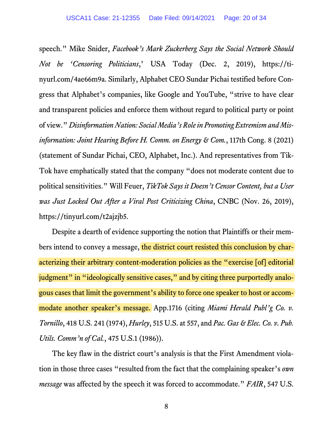<span id="page-19-7"></span><span id="page-19-5"></span>speech." Mike Snider, *Facebook's Mark Zuckerberg Says the Social Network Should Not be 'Censoring Politicians*,' USA Today (Dec. 2, 2019), https://tinyurl.com/4ae66m9a. Similarly, Alphabet CEO Sundar Pichai testified before Congress that Alphabet's companies, like Google and YouTube, "strive to have clear and transparent policies and enforce them without regard to political party or point of view." *Disinformation Nation: Social Media's Role in Promoting Extremism and Misinformation: Joint Hearing Before H. Comm. on Energy & Com.*, 117th Cong. 8 (2021) (statement of Sundar Pichai, CEO, Alphabet, Inc.). And representatives from Tik-Tok have emphatically stated that the company "does not moderate content due to political sensitivities." Will Feuer, *TikTok Says it Doesn't Censor Content, but a User was Just Locked Out After a Viral Post Criticizing China*, CNBC (Nov. 26, 2019), https://tinyurl.com/t2ajzjb5.

<span id="page-19-6"></span>Despite a dearth of evidence supporting the notion that Plaintiffs or their members intend to convey a message, the district court resisted this conclusion by characterizing their arbitrary content-moderation policies as the "exercise [of] editorial judgment" in "ideologically sensitive cases," and by citing three purportedly analogous cases that limit the government's ability to force one speaker to host or accommodate another speaker's message. App.1716 (citing *Miami Herald Publ'g Co. v. Tornillo*, 418 U.S. 241 (1974), *Hurley*, 515 U.S. at 557, and *Pac. Gas & Elec. Co. v. Pub. Utils. Comm'n of Cal.*, 475 U.S.1 (1986)).

<span id="page-19-4"></span><span id="page-19-3"></span><span id="page-19-2"></span><span id="page-19-1"></span><span id="page-19-0"></span>The key flaw in the district court's analysis is that the First Amendment violation in those three cases "resulted from the fact that the complaining speaker's *own message* was affected by the speech it was forced to accommodate." *FAIR*, 547 U.S.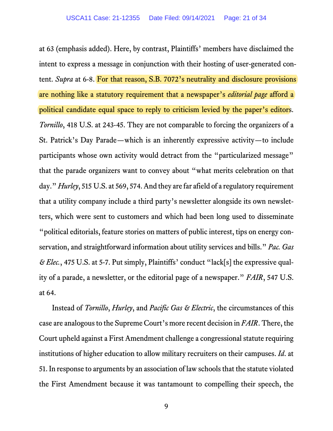<span id="page-20-1"></span>at 63 (emphasis added). Here, by contrast, Plaintiffs' members have disclaimed the intent to express a message in conjunction with their hosting of user-generated content. *Supra* at 6-8. For that reason, S.B. 7072's neutrality and disclosure provisions are nothing like a statutory requirement that a newspaper's *editorial page* afford a political candidate equal space to reply to criticism levied by the paper's editors. *Tornillo*, 418 U.S. at 243-45. They are not comparable to forcing the organizers of a St. Patrick's Day Parade—which is an inherently expressive activity—to include participants whose own activity would detract from the "particularized message" that the parade organizers want to convey about "what merits celebration on that day." *Hurley*, 515 U.S. at 569, 574. And they are far afield of a regulatory requirement that a utility company include a third party's newsletter alongside its own newsletters, which were sent to customers and which had been long used to disseminate "political editorials, feature stories on matters of public interest, tips on energy conservation, and straightforward information about utility services and bills." *Pac. Gas & Elec.*, 475 U.S. at 5-7. Put simply, Plaintiffs' conduct "lack[s] the expressive quality of a parade, a newsletter, or the editorial page of a newspaper." *FAIR*, 547 U.S. at 64.

<span id="page-20-4"></span><span id="page-20-3"></span><span id="page-20-2"></span><span id="page-20-0"></span>Instead of *Tornillo*, *Hurley*, and *Pacific Gas & Electric*, the circumstances of this case are analogous to the Supreme Court's more recent decision in *FAIR*. There, the Court upheld against a First Amendment challenge a congressional statute requiring institutions of higher education to allow military recruiters on their campuses. *Id*. at 51. In response to arguments by an association of law schoolsthat the statute violated the First Amendment because it was tantamount to compelling their speech, the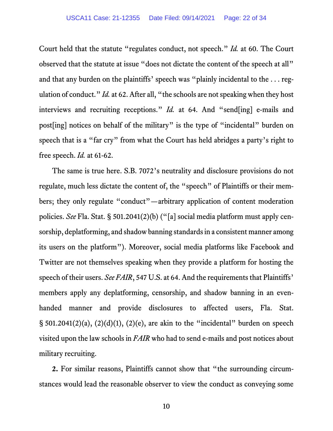<span id="page-21-0"></span>Court held that the statute "regulates conduct, not speech." *Id.* at 60. The Court observed that the statute at issue "does not dictate the content of the speech at all" and that any burden on the plaintiffs' speech was "plainly incidental to the . . . regulation of conduct." *Id.* at 62. After all, "the schools are not speaking when they host interviews and recruiting receptions." *Id.* at 64. And "send[ing] e-mails and post[ing] notices on behalf of the military" is the type of "incidental" burden on speech that is a "far cry" from what the Court has held abridges a party's right to free speech. *Id.* at 61-62.

<span id="page-21-2"></span>The same is true here. S.B. 7072's neutrality and disclosure provisions do not regulate, much less dictate the content of, the "speech" of Plaintiffs or their members; they only regulate "conduct"—arbitrary application of content moderation policies. *See* Fla. Stat. § 501.2041(2)(b) ("[a] social media platform must apply censorship, deplatforming, and shadow banning standards in a consistent manner among its users on the platform"). Moreover, social media platforms like Facebook and Twitter are not themselves speaking when they provide a platform for hosting the speech of their users. *See FAIR*, 547 U.S. at 64. And the requirements that Plaintiffs' members apply any deplatforming, censorship, and shadow banning in an evenhanded manner and provide disclosures to affected users, Fla. Stat. § 501.2041(2)(a), (2)(d)(1), (2)(e), are akin to the "incidental" burden on speech visited upon the law schools in *FAIR* who had to send e-mails and post notices about military recruiting.

<span id="page-21-1"></span>**2.** For similar reasons, Plaintiffs cannot show that "the surrounding circumstances would lead the reasonable observer to view the conduct as conveying some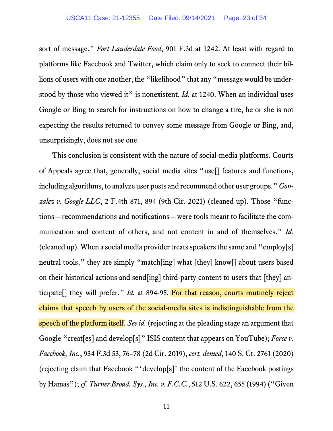<span id="page-22-1"></span>sort of message." *Fort Lauderdale Food*, 901 F.3d at 1242. At least with regard to platforms like Facebook and Twitter, which claim only to seek to connect their billions of users with one another, the "likelihood" that any "message would be understood by those who viewed it" is nonexistent. *Id.* at 1240. When an individual uses Google or Bing to search for instructions on how to change a tire, he or she is not expecting the results returned to convey some message from Google or Bing, and, unsurprisingly, does not see one.

<span id="page-22-3"></span><span id="page-22-2"></span><span id="page-22-0"></span>This conclusion is consistent with the nature of social-media platforms. Courts of Appeals agree that, generally, social media sites "use[] features and functions, including algorithms, to analyze user posts and recommend other user groups." *Gonzalez v. Google LLC*, 2 F.4th 871, 894 (9th Cir. 2021) (cleaned up). Those "functions—recommendations and notifications—were tools meant to facilitate the communication and content of others, and not content in and of themselves." *Id.* (cleaned up). When a social media provider treats speakers the same and "employ[s] neutral tools," they are simply "match[ing] what [they] know[] about users based on their historical actions and send[ing] third-party content to users that [they] anticipate[] they will prefer." *Id.* at 894-95. For that reason, courts routinely reject claims that speech by users of the social-media sites is indistinguishable from the speech of the platform itself. *See id.* (rejecting at the pleading stage an argument that Google "creat[es] and develop[s]" ISIS content that appears on YouTube); *Force v. Facebook, Inc.*, 934 F.3d 53, 76–78 (2d Cir. 2019), *cert. denied*, 140 S. Ct. 2761 (2020) (rejecting claim that Facebook "'develop[s]' the content of the Facebook postings by Hamas"); *cf. Turner Broad. Sys., Inc. v. F.C.C.*, 512 U.S. 622, 655 (1994) ("Given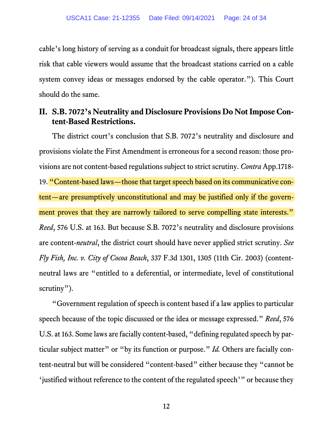cable's long history of serving as a conduit for broadcast signals, there appears little risk that cable viewers would assume that the broadcast stations carried on a cable system convey ideas or messages endorsed by the cable operator."). This Court should do the same.

## <span id="page-23-0"></span>**II. S.B. 7072's Neutrality and Disclosure Provisions Do Not Impose Content-Based Restrictions.**

<span id="page-23-3"></span>The district court's conclusion that S.B. 7072's neutrality and disclosure and provisions violate the First Amendment is erroneous for a second reason: those provisions are not content-based regulations subject to strict scrutiny. *Contra* App.1718- 19. "Content-based laws—those that target speech based on its communicative content—are presumptively unconstitutional and may be justified only if the government proves that they are narrowly tailored to serve compelling state interests." *Reed*, 576 U.S. at 163. But because S.B. 7072's neutrality and disclosure provisions are content-*neutral*, the district court should have never applied strict scrutiny. *See Fly Fish, Inc. v. City of Cocoa Beach*, 337 F.3d 1301, 1305 (11th Cir. 2003) (contentneutral laws are "entitled to a deferential, or intermediate, level of constitutional scrutiny").

<span id="page-23-2"></span><span id="page-23-1"></span>"Government regulation of speech is content based if a law applies to particular speech because of the topic discussed or the idea or message expressed." *Reed*, 576 U.S. at 163. Some laws are facially content-based, "defining regulated speech by particular subject matter" or "by its function or purpose." *Id*. Others are facially content-neutral but will be considered "content-based" either because they "cannot be 'justified without reference to the content of the regulated speech'" or because they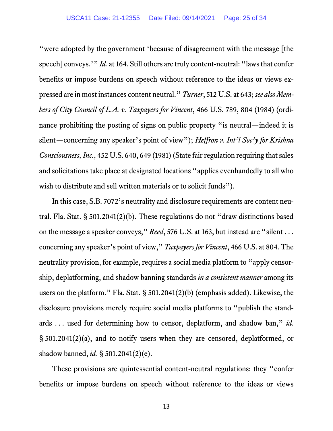<span id="page-24-3"></span><span id="page-24-2"></span><span id="page-24-1"></span>"were adopted by the government 'because of disagreement with the message [the speech] conveys.'" *Id.* at 164. Still others are truly content-neutral: "laws that confer benefits or impose burdens on speech without reference to the ideas or views expressed are in most instances content neutral." *Turner*, 512 U.S. at 643;*see also Members of City Council of L.A. v. Taxpayers for Vincent*, 466 U.S. 789, 804 (1984) (ordinance prohibiting the posting of signs on public property "is neutral—indeed it is silent—concerning any speaker's point of view"); *Heffron v. Int'l Soc'y for Krishna Consciousness, Inc.*, 452 U.S. 640, 649 (1981) (State fair regulation requiring that sales and solicitations take place at designated locations "applies evenhandedly to all who wish to distribute and sell written materials or to solicit funds").

<span id="page-24-5"></span><span id="page-24-0"></span>In this case, S.B. 7072's neutrality and disclosure requirements are content neutral. Fla. Stat. § 501.2041(2)(b). These regulations do not "draw distinctions based on the message a speaker conveys," *Reed*, 576 U.S. at 163, but instead are "silent . . . concerning any speaker's point of view," *Taxpayers for Vincent*, 466 U.S. at 804. The neutrality provision, for example, requires a social media platform to "apply censorship, deplatforming, and shadow banning standards *in a consistent manner* among its users on the platform." Fla. Stat. § 501.2041(2)(b) (emphasis added). Likewise, the disclosure provisions merely require social media platforms to "publish the standards . . . used for determining how to censor, deplatform, and shadow ban," *id.* § 501.2041(2)(a), and to notify users when they are censored, deplatformed, or shadow banned, *id.* § 501.2041(2)(e).

<span id="page-24-6"></span><span id="page-24-4"></span>These provisions are quintessential content-neutral regulations: they "confer benefits or impose burdens on speech without reference to the ideas or views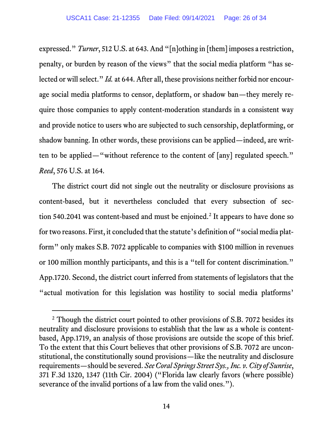<span id="page-25-2"></span>expressed." *Turner*, 512 U.S. at 643. And "[n]othing in [them] imposes a restriction, penalty, or burden by reason of the views" that the social media platform "has selected or will select." *Id.* at 644. After all, these provisions neither forbid nor encourage social media platforms to censor, deplatform, or shadow ban—they merely require those companies to apply content-moderation standards in a consistent way and provide notice to users who are subjected to such censorship, deplatforming, or shadow banning. In other words, these provisions can be applied—indeed, are written to be applied—"without reference to the content of [any] regulated speech." *Reed*, 576 U.S. at 164.

<span id="page-25-1"></span>The district court did not single out the neutrality or disclosure provisions as content-based, but it nevertheless concluded that every subsection of sec-tion 540.[2](#page-25-3)041 was content-based and must be enjoined.<sup>2</sup> It appears to have done so for two reasons. First, it concluded that the statute's definition of "social media platform" only makes S.B. 7072 applicable to companies with \$100 million in revenues or 100 million monthly participants, and this is a "tell for content discrimination." App.1720. Second, the district court inferred from statements of legislators that the "actual motivation for this legislation was hostility to social media platforms'

<span id="page-25-3"></span><span id="page-25-0"></span><sup>&</sup>lt;sup>2</sup> Though the district court pointed to other provisions of S.B. 7072 besides its neutrality and disclosure provisions to establish that the law as a whole is contentbased, App.1719, an analysis of those provisions are outside the scope of this brief. To the extent that this Court believes that other provisions of S.B. 7072 are unconstitutional, the constitutionally sound provisions—like the neutrality and disclosure requirements—should be severed. *See Coral Springs Street Sys., Inc. v. City of Sunrise*, 371 F.3d 1320, 1347 (11th Cir. 2004) ("Florida law clearly favors (where possible) severance of the invalid portions of a law from the valid ones.").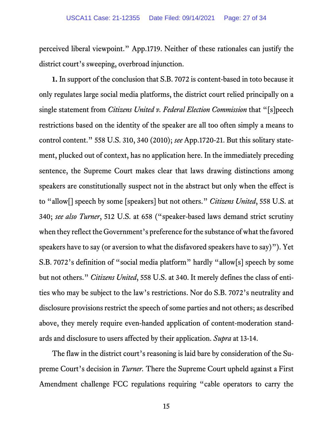perceived liberal viewpoint." App.1719. Neither of these rationales can justify the district court's sweeping, overbroad injunction.

<span id="page-26-1"></span><span id="page-26-0"></span>**1.** In support of the conclusion that S.B. 7072 is content-based in toto because it only regulates large social media platforms, the district court relied principally on a single statement from *Citizens United v. Federal Election Commission* that "[s]peech restrictions based on the identity of the speaker are all too often simply a means to control content." 558 U.S. 310, 340 (2010); *see* App.1720-21. But this solitary statement, plucked out of context, has no application here. In the immediately preceding sentence, the Supreme Court makes clear that laws drawing distinctions among speakers are constitutionally suspect not in the abstract but only when the effect is to "allow[] speech by some [speakers] but not others." *Citizens United*, 558 U.S. at 340; *see also Turner*, 512 U.S. at 658 ("speaker-based laws demand strict scrutiny when they reflect the Government's preference for the substance of what the favored speakers have to say (or aversion to what the disfavored speakers have to say)"). Yet S.B. 7072's definition of "social media platform" hardly "allow[s] speech by some but not others." *Citizens United*, 558 U.S. at 340. It merely defines the class of entities who may be subject to the law's restrictions. Nor do S.B. 7072's neutrality and disclosure provisions restrict the speech of some parties and not others; as described above, they merely require even-handed application of content-moderation standards and disclosure to users affected by their application. *Supra* at 13-14.

<span id="page-26-2"></span>The flaw in the district court's reasoning is laid bare by consideration of the Supreme Court's decision in *Turner.* There the Supreme Court upheld against a First Amendment challenge FCC regulations requiring "cable operators to carry the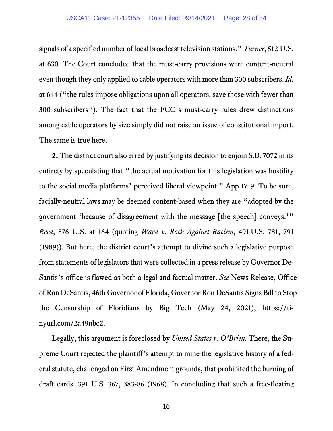<span id="page-27-1"></span>signals of a specified number of local broadcast television stations." *Turner*, 512 U.S. at 630. The Court concluded that the must-carry provisions were content-neutral even though they only applied to cable operators with more than 300 subscribers. *Id.* at 644 ("the rules impose obligations upon all operators, save those with fewer than 300 subscribers"). The fact that the FCC's must-carry rules drew distinctions among cable operators by size simply did not raise an issue of constitutional import. The same is true here.

<span id="page-27-3"></span><span id="page-27-0"></span>**2.** The district court also erred by justifying its decision to enjoin S.B. 7072 in its entirety by speculating that "the actual motivation for this legislation was hostility to the social media platforms' perceived liberal viewpoint." App.1719. To be sure, facially-neutral laws may be deemed content-based when they are "adopted by the government 'because of disagreement with the message [the speech] conveys.'" *Reed*, 576 U.S. at 164 (quoting *Ward v. Rock Against Racism*, 491 U.S. 781, 791 (1989)). But here, the district court's attempt to divine such a legislative purpose from statements of legislators that were collected in a press release by Governor De-Santis's office is flawed as both a legal and factual matter. *See* News Release, Office of Ron DeSantis, 46th Governor of Florida, Governor Ron DeSantis Signs Bill to Stop the Censorship of Floridians by Big Tech (May 24, 2021), https://tinyurl.com/2a49nbc2.

<span id="page-27-5"></span><span id="page-27-4"></span><span id="page-27-2"></span>Legally, this argument is foreclosed by *United States v. O'Brien*. There, the Supreme Court rejected the plaintiff's attempt to mine the legislative history of a federal statute, challenged on First Amendment grounds, that prohibited the burning of draft cards. 391 U.S. 367, 383-86 (1968). In concluding that such a free-floating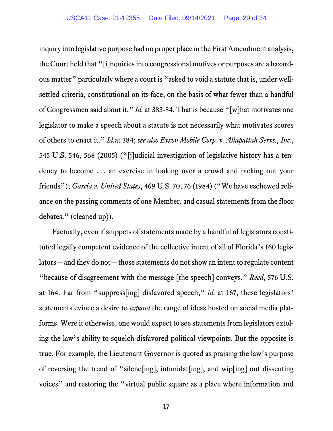<span id="page-28-4"></span><span id="page-28-3"></span><span id="page-28-0"></span>inquiry into legislative purpose had no proper place in the First Amendment analysis, the Court held that "[i]nquiries into congressional motives or purposes are a hazardous matter" particularly where a court is "asked to void a statute that is, under wellsettled criteria, constitutional on its face, on the basis of what fewer than a handful of Congressmen said about it." *Id.* at 383-84. That is because "[w]hat motivates one legislator to make a speech about a statute is not necessarily what motivates scores of others to enact it." *Id.*at 384; *see also Exxon Mobile Corp. v. Allapattah Servs., Inc*., 545 U.S. 546, 568 (2005) ("[j]udicial investigation of legislative history has a tendency to become . . . an exercise in looking over a crowd and picking out your friends"); *Garcia v. United States*, 469 U.S. 70, 76 (1984) ("We have eschewed reliance on the passing comments of one Member, and casual statements from the floor debates." (cleaned up)).

<span id="page-28-2"></span><span id="page-28-1"></span>Factually, even if snippets of statements made by a handful of legislators constituted legally competent evidence of the collective intent of all of Florida's 160 legislators—and they do not—those statements do not show an intent to regulate content "because of disagreement with the message [the speech] conveys." *Reed*, 576 U.S. at 164. Far from "suppress[ing] disfavored speech," *id.* at 167, these legislators' statements evince a desire to *expand* the range of ideas hosted on social media platforms. Were it otherwise, one would expect to see statements from legislators extoling the law's ability to squelch disfavored political viewpoints. But the opposite is true. For example, the Lieutenant Governor is quoted as praising the law's purpose of reversing the trend of "silenc[ing], intimidat[ing], and wip[ing] out dissenting voices" and restoring the "virtual public square as a place where information and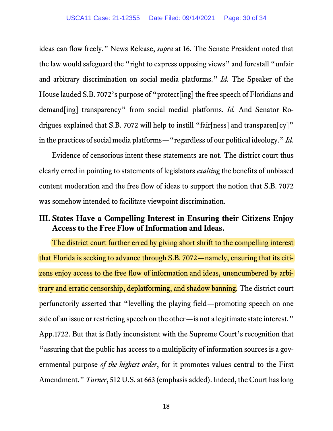<span id="page-29-1"></span>ideas can flow freely." News Release, *supra* at 16. The Senate President noted that the law would safeguard the "right to express opposing views" and forestall "unfair and arbitrary discrimination on social media platforms." *Id.* The Speaker of the House lauded S.B. 7072's purpose of "protect[ing] the free speech of Floridians and demand[ing] transparency" from social medial platforms. *Id.* And Senator Rodrigues explained that S.B. 7072 will help to instill "fair[ness] and transparen[cy]" in the practices of social media platforms—"regardless of our political ideology." *Id.*

Evidence of censorious intent these statements are not. The district court thus clearly erred in pointing to statements of legislators *exalting* the benefits of unbiased content moderation and the free flow of ideas to support the notion that S.B. 7072 was somehow intended to facilitate viewpoint discrimination.

## <span id="page-29-0"></span>**III. States Have a Compelling Interest in Ensuring their Citizens Enjoy Access to the Free Flow of Information and Ideas.**

<span id="page-29-3"></span><span id="page-29-2"></span>The district court further erred by giving short shrift to the compelling interest that Florida is seeking to advance through S.B. 7072—namely, ensuring that its citizens enjoy access to the free flow of information and ideas, unencumbered by arbitrary and erratic censorship, deplatforming, and shadow banning. The district court perfunctorily asserted that "levelling the playing field—promoting speech on one side of an issue or restricting speech on the other—is not a legitimate state interest." App.1722. But that is flatly inconsistent with the Supreme Court's recognition that "assuring that the public has access to a multiplicity of information sources is a governmental purpose *of the highest order*, for it promotes values central to the First Amendment." *Turner*, 512 U.S. at 663 (emphasis added). Indeed, the Court has long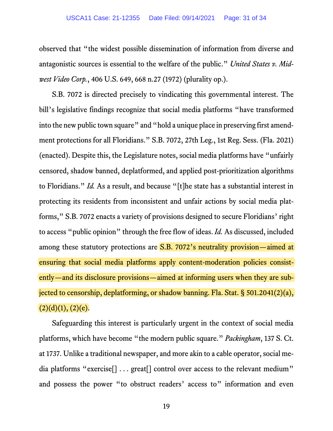<span id="page-30-1"></span>observed that "the widest possible dissemination of information from diverse and antagonistic sources is essential to the welfare of the public." *United States v. Midwest Video Corp.*, 406 U.S. 649, 668 n.27 (1972) (plurality op.).

<span id="page-30-4"></span><span id="page-30-2"></span>S.B. 7072 is directed precisely to vindicating this governmental interest. The bill's legislative findings recognize that social media platforms "have transformed into the new public town square" and "hold a unique place in preserving first amendment protections for all Floridians." S.B. 7072, 27th Leg., 1st Reg. Sess. (Fla. 2021) (enacted). Despite this, the Legislature notes, social media platforms have "unfairly censored, shadow banned, deplatformed, and applied post-prioritization algorithms to Floridians." *Id.* As a result, and because "[t]he state has a substantial interest in protecting its residents from inconsistent and unfair actions by social media platforms," S.B. 7072 enacts a variety of provisions designed to secure Floridians' right to access "public opinion" through the free flow of ideas. *Id.* As discussed, included among these statutory protections are **S.B. 7072's neutrality provision—aimed at** ensuring that social media platforms apply content-moderation policies consistently—and its disclosure provisions—aimed at informing users when they are subjected to censorship, deplatforming, or shadow banning. Fla. Stat. § 501.2041(2)(a),  $(2)(d)(1), (2)(e).$ 

<span id="page-30-3"></span><span id="page-30-0"></span>Safeguarding this interest is particularly urgent in the context of social media platforms, which have become "the modern public square." *Packingham*, 137 S. Ct. at 1737. Unlike a traditional newspaper, and more akin to a cable operator, social media platforms "exercise<sup>[]</sup> . . . great<sup>[]</sup> control over access to the relevant medium" and possess the power "to obstruct readers' access to" information and even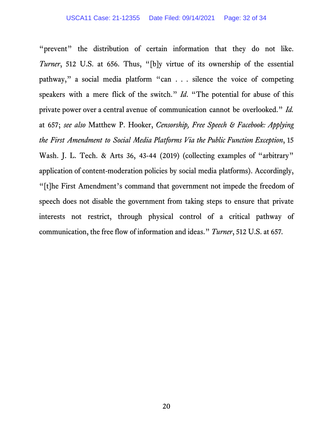<span id="page-31-1"></span><span id="page-31-0"></span>"prevent" the distribution of certain information that they do not like. *Turner*, 512 U.S. at 656. Thus, "[b]y virtue of its ownership of the essential pathway," a social media platform "can . . . silence the voice of competing speakers with a mere flick of the switch." *Id*. "The potential for abuse of this private power over a central avenue of communication cannot be overlooked." *Id.* at 657; *see also* Matthew P. Hooker, *Censorship, Free Speech & Facebook: Applying the First Amendment to Social Media Platforms Via the Public Function Exception*, 15 Wash. J. L. Tech. & Arts 36, 43-44 (2019) (collecting examples of "arbitrary" application of content-moderation policies by social media platforms). Accordingly, "[t]he First Amendment's command that government not impede the freedom of speech does not disable the government from taking steps to ensure that private interests not restrict, through physical control of a critical pathway of communication, the free flow of information and ideas." *Turner*, 512 U.S. at 657*.*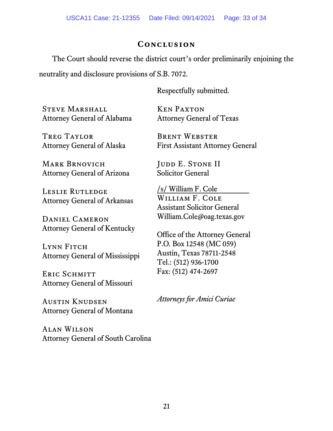## **Conclusion**

<span id="page-32-0"></span>The Court should reverse the district court's order preliminarily enjoining the neutrality and disclosure provisions of S.B. 7072.

Respectfully submitted.

STEVE MARSHALL Attorney General of Alabama

Treg Taylor Attorney General of Alaska

Mark Brnovich Attorney General of Arizona

Leslie Rutledge Attorney General of Arkansas

Daniel Cameron Attorney General of Kentucky

LYNN FITCH Attorney General of Mississippi

ERIC SCHMITT Attorney General of Missouri

Austin Knudsen Attorney General of Montana

Alan Wilson Attorney General of South Carolina

Ken Paxton Attorney General of Texas

Brent Webster First Assistant Attorney General

JUDD E. STONE II Solicitor General

/s/ William F. Cole WILLIAM F. COLE Assistant Solicitor General William.Cole@oag.texas.gov

Office of the Attorney General P.O. Box 12548 (MC 059) Austin, Texas 78711-2548 Tel.: (512) 936-1700 Fax: (512) 474-2697

*Attorneys for Amici Curiae*